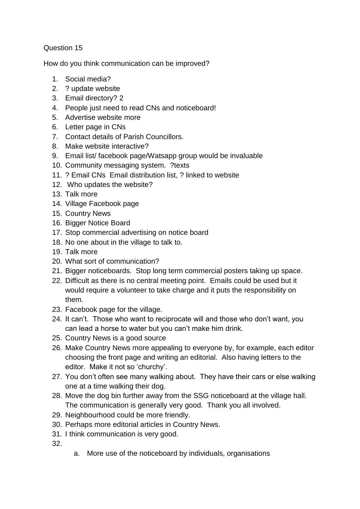## Question 15

How do you think communication can be improved?

- 1. Social media?
- 2. ? update website
- 3. Email directory? 2
- 4. People just need to read CNs and noticeboard!
- 5. Advertise website more
- 6. Letter page in CNs
- 7. Contact details of Parish Councillors.
- 8. Make website interactive?
- 9. Email list/ facebook page/Watsapp group would be invaluable
- 10. Community messaging system. ?texts
- 11. ? Email CNs Email distribution list, ? linked to website
- 12. Who updates the website?
- 13. Talk more
- 14. Village Facebook page
- 15. Country News
- 16. Bigger Notice Board
- 17. Stop commercial advertising on notice board
- 18. No one about in the village to talk to.
- 19. Talk more
- 20. What sort of communication?
- 21. Bigger noticeboards. Stop long term commercial posters taking up space.
- 22. Difficult as there is no central meeting point. Emails could be used but it would require a volunteer to take charge and it puts the responsibility on them.
- 23. Facebook page for the village.
- 24. It can't. Those who want to reciprocate will and those who don't want, you can lead a horse to water but you can't make him drink.
- 25. Country News is a good source
- 26. Make Country News more appealing to everyone by, for example, each editor choosing the front page and writing an editorial. Also having letters to the editor. Make it not so 'churchy'.
- 27. You don't often see many walking about. They have their cars or else walking one at a time walking their dog.
- 28. Move the dog bin further away from the SSG noticeboard at the village hall. The communication is generally very good. Thank you all involved.
- 29. Neighbourhood could be more friendly.
- 30. Perhaps more editorial articles in Country News.
- 31. I think communication is very good.

32.

a. More use of the noticeboard by individuals, organisations